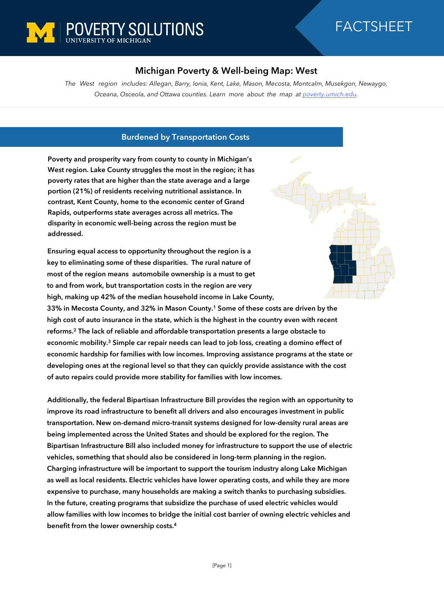

# FACTSHEET

## **Michigan Poverty & Well-being Map: West**

*The West region includes: Allegan, Barry, Ionia, Kent, Lake, Mason, Mecosta, Montcalm, Musekgon, Newaygo, Oceana, Osceola, and Ottawa counties. Learn more about the map at [poverty.umich.edu.](https://poverty.umich.edu/research-funding-opportunities/data-tools/michigan-poverty-well-being-map/)*

#### **Burdened by Transportation Costs**

**Poverty and prosperity vary from county to county in Michigan's West region. Lake County struggles the most in the region; it has poverty rates that are higher than the state average and a large portion (21%) of residents receiving nutritional assistance. In contrast, Kent County, home to the economic center of Grand Rapids, outperforms state averages across all metrics. The disparity in economic well-being across the region must be addressed.** 

**Ensuring equal access to opportunity throughout the region is a key to eliminating some of these disparities. The rural nature of most of the region means automobile ownership is a must to get to and from work, but transportation costs in the region are very high, making up 42% of the median household income in Lake County,** 

**33% in Mecosta County, and 32% in Mason County.<sup>1</sup> Some of these costs are driven by the high cost of auto insurance in the state, which is the highest in the country even with recent reforms.<sup>2</sup> The lack of reliable and affordable transportation presents a large obstacle to economic mobility.<sup>3</sup> Simple car repair needs can lead to job loss, creating a domino effect of economic hardship for families with low incomes. Improving assistance programs at the state or developing ones at the regional level so that they can quickly provide assistance with the cost of auto repairs could provide more stability for families with low incomes.** 

**Additionally, the federal Bipartisan Infrastructure Bill provides the region with an opportunity to improve its road infrastructure to benefit all drivers and also encourages investment in public transportation. New on-demand micro-transit systems designed for low-density rural areas are being implemented across the United States and should be explored for the region. The Bipartisan Infrastructure Bill also included money for infrastructure to support the use of electric vehicles, something that should also be considered in long-term planning in the region. Charging infrastructure will be important to support the tourism industry along Lake Michigan as well as local residents. Electric vehicles have lower operating costs, and while they are more expensive to purchase, many households are making a switch thanks to purchasing subsidies. In the future, creating programs that subsidize the purchase of used electric vehicles would allow families with low incomes to bridge the initial cost barrier of owning electric vehicles and benefit from the lower ownership costs.4**